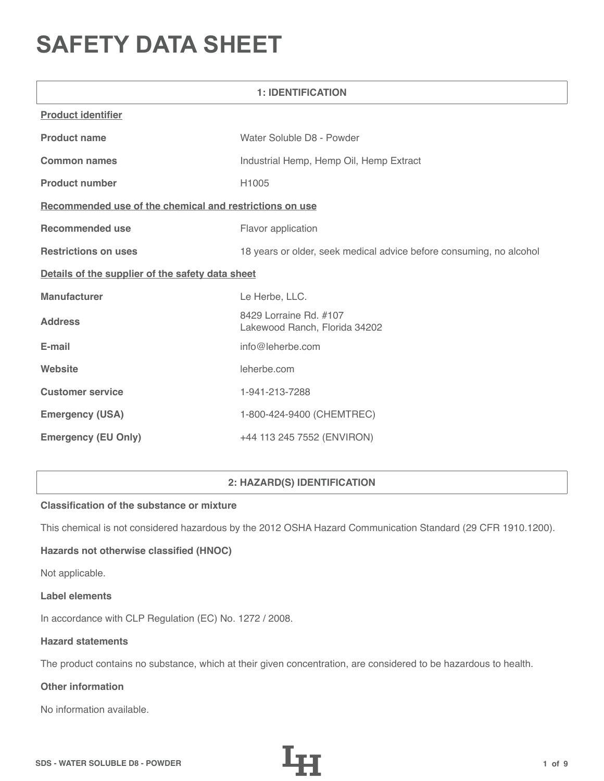# **SAFETY DATA SHEET**

| <b>1: IDENTIFICATION</b>                                |                                                                     |  |
|---------------------------------------------------------|---------------------------------------------------------------------|--|
| <b>Product identifier</b>                               |                                                                     |  |
| <b>Product name</b>                                     | Water Soluble D8 - Powder                                           |  |
| <b>Common names</b>                                     | Industrial Hemp, Hemp Oil, Hemp Extract                             |  |
| <b>Product number</b>                                   | H1005                                                               |  |
| Recommended use of the chemical and restrictions on use |                                                                     |  |
| <b>Recommended use</b>                                  | Flavor application                                                  |  |
| <b>Restrictions on uses</b>                             | 18 years or older, seek medical advice before consuming, no alcohol |  |
| Details of the supplier of the safety data sheet        |                                                                     |  |
| <b>Manufacturer</b>                                     | Le Herbe, LLC.                                                      |  |
| <b>Address</b>                                          | 8429 Lorraine Rd. #107<br>Lakewood Ranch, Florida 34202             |  |
| E-mail                                                  | info@leherbe.com                                                    |  |
| Website                                                 | leherbe.com                                                         |  |
| <b>Customer service</b>                                 | 1-941-213-7288                                                      |  |
| <b>Emergency (USA)</b>                                  | 1-800-424-9400 (CHEMTREC)                                           |  |
| <b>Emergency (EU Only)</b>                              | +44 113 245 7552 (ENVIRON)                                          |  |

# **2: HAZARD(S) IDENTIFICATION**

## **Classification of the substance or mixture**

This chemical is not considered hazardous by the 2012 OSHA Hazard Communication Standard (29 CFR 1910.1200).

# **Hazards not otherwise classified (HNOC)**

Not applicable.

#### **Label elements**

In accordance with CLP Regulation (EC) No. 1272 / 2008.

### **Hazard statements**

The product contains no substance, which at their given concentration, are considered to be hazardous to health.

# **Other information**

No information available.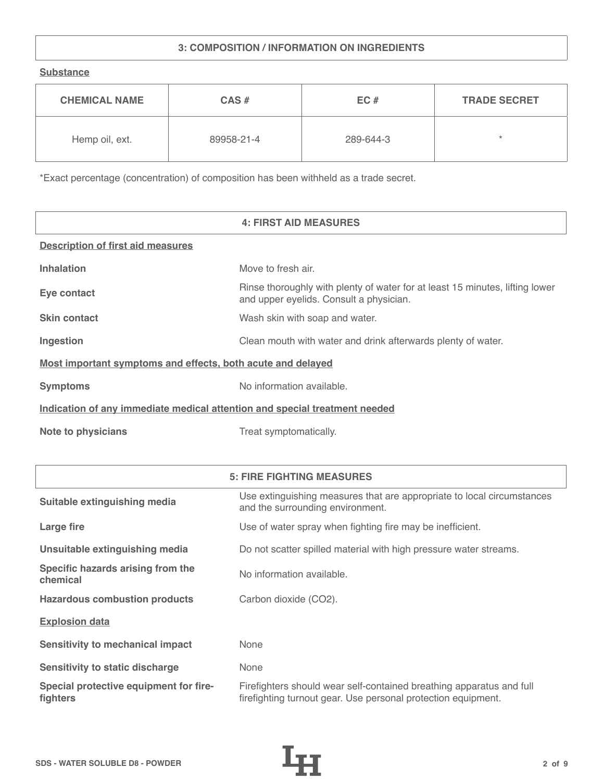# **3: COMPOSITION / INFORMATION ON INGREDIENTS**

**Substance**

| <b>CHEMICAL NAME</b> | $CAS \#$<br>EC# |           | <b>TRADE SECRET</b> |
|----------------------|-----------------|-----------|---------------------|
| Hemp oil, ext.       | 89958-21-4      | 289-644-3 | ÷                   |

\*Exact percentage (concentration) of composition has been withheld as a trade secret.

|                                                                            | <b>4: FIRST AID MEASURES</b>                                                                                            |  |
|----------------------------------------------------------------------------|-------------------------------------------------------------------------------------------------------------------------|--|
| <b>Description of first aid measures</b>                                   |                                                                                                                         |  |
| <b>Inhalation</b>                                                          | Move to fresh air.                                                                                                      |  |
| Eye contact                                                                | Rinse thoroughly with plenty of water for at least 15 minutes, lifting lower<br>and upper eyelids. Consult a physician. |  |
| <b>Skin contact</b>                                                        | Wash skin with soap and water.                                                                                          |  |
| Ingestion                                                                  | Clean mouth with water and drink afterwards plenty of water.                                                            |  |
| Most important symptoms and effects, both acute and delayed                |                                                                                                                         |  |
| <b>Symptoms</b>                                                            | No information available.                                                                                               |  |
| Indication of any immediate medical attention and special treatment needed |                                                                                                                         |  |
| <b>Note to physicians</b>                                                  | Treat symptomatically.                                                                                                  |  |

|                                                    | <b>5: FIRE FIGHTING MEASURES</b>                                                                                                      |
|----------------------------------------------------|---------------------------------------------------------------------------------------------------------------------------------------|
| Suitable extinguishing media                       | Use extinguishing measures that are appropriate to local circumstances<br>and the surrounding environment.                            |
| Large fire                                         | Use of water spray when fighting fire may be inefficient.                                                                             |
| Unsuitable extinguishing media                     | Do not scatter spilled material with high pressure water streams.                                                                     |
| Specific hazards arising from the<br>chemical      | No information available.                                                                                                             |
| <b>Hazardous combustion products</b>               | Carbon dioxide (CO2).                                                                                                                 |
| <b>Explosion data</b>                              |                                                                                                                                       |
| <b>Sensitivity to mechanical impact</b>            | None                                                                                                                                  |
| <b>Sensitivity to static discharge</b>             | None                                                                                                                                  |
| Special protective equipment for fire-<br>fighters | Firefighters should wear self-contained breathing apparatus and full<br>firefighting turnout gear. Use personal protection equipment. |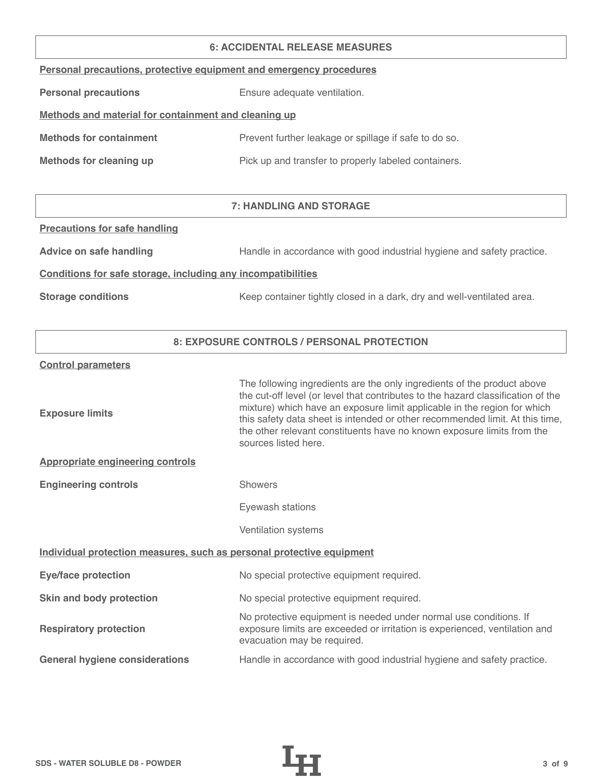#### **6: ACCIDENTAL RELEASE MEASURES**

| Personal precautions, protective equipment and emergency procedures |  |  |  |
|---------------------------------------------------------------------|--|--|--|
|                                                                     |  |  |  |

**Personal precautions** Ensure adequate ventilation.

# **Methods and material for containment and cleaning up**

| <b>Methods for containment</b> | Prevent further leakage or spillage if safe to do so. |
|--------------------------------|-------------------------------------------------------|
|                                |                                                       |

**Methods for cleaning up Pick up and transfer to properly labeled containers.** 

# **7: HANDLING AND STORAGE**

### **Precautions for safe handling**

Advice on safe handling **Handle in accordance with good industrial hygiene and safety practice.** 

### **Conditions for safe storage, including any incompatibilities**

**Storage conditions** Keep container tightly closed in a dark, dry and well-ventilated area.

## **8: EXPOSURE CONTROLS / PERSONAL PROTECTION**

#### **Control parameters**

| <b>Exposure limits</b>                                                | The following ingredients are the only ingredients of the product above<br>the cut-off level (or level that contributes to the hazard classification of the<br>mixture) which have an exposure limit applicable in the region for which<br>this safety data sheet is intended or other recommended limit. At this time,<br>the other relevant constituents have no known exposure limits from the<br>sources listed here. |
|-----------------------------------------------------------------------|---------------------------------------------------------------------------------------------------------------------------------------------------------------------------------------------------------------------------------------------------------------------------------------------------------------------------------------------------------------------------------------------------------------------------|
| <b>Appropriate engineering controls</b>                               |                                                                                                                                                                                                                                                                                                                                                                                                                           |
| <b>Engineering controls</b>                                           | <b>Showers</b>                                                                                                                                                                                                                                                                                                                                                                                                            |
|                                                                       | Eyewash stations                                                                                                                                                                                                                                                                                                                                                                                                          |
|                                                                       | Ventilation systems                                                                                                                                                                                                                                                                                                                                                                                                       |
| Individual protection measures, such as personal protective equipment |                                                                                                                                                                                                                                                                                                                                                                                                                           |
| <b>Eye/face protection</b>                                            | No special protective equipment required.                                                                                                                                                                                                                                                                                                                                                                                 |
| Skin and body protection                                              | No special protective equipment required.                                                                                                                                                                                                                                                                                                                                                                                 |
| <b>Respiratory protection</b>                                         | No protective equipment is needed under normal use conditions. If<br>exposure limits are exceeded or irritation is experienced, ventilation and<br>evacuation may be required.                                                                                                                                                                                                                                            |
| <b>General hygiene considerations</b>                                 | Handle in accordance with good industrial hygiene and safety practice.                                                                                                                                                                                                                                                                                                                                                    |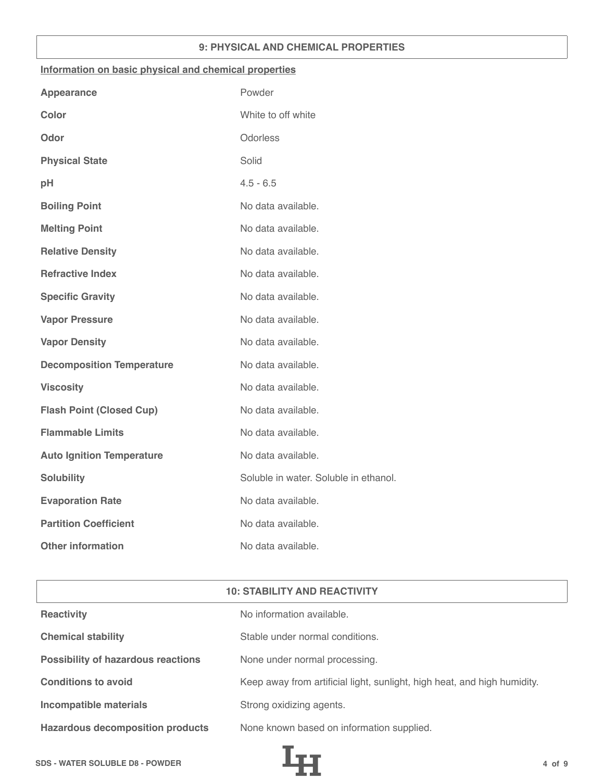## **9: PHYSICAL AND CHEMICAL PROPERTIES**

### **Information on basic physical and chemical properties**

| <b>Appearance</b>                | Powder                                |
|----------------------------------|---------------------------------------|
| <b>Color</b>                     | White to off white                    |
| Odor                             | Odorless                              |
| <b>Physical State</b>            | Solid                                 |
| pH                               | $4.5 - 6.5$                           |
| <b>Boiling Point</b>             | No data available.                    |
| <b>Melting Point</b>             | No data available.                    |
| <b>Relative Density</b>          | No data available.                    |
| <b>Refractive Index</b>          | No data available.                    |
| <b>Specific Gravity</b>          | No data available.                    |
| <b>Vapor Pressure</b>            | No data available.                    |
| <b>Vapor Density</b>             | No data available.                    |
| <b>Decomposition Temperature</b> | No data available.                    |
| <b>Viscosity</b>                 | No data available.                    |
| <b>Flash Point (Closed Cup)</b>  | No data available.                    |
| <b>Flammable Limits</b>          | No data available.                    |
| <b>Auto Ignition Temperature</b> | No data available.                    |
| <b>Solubility</b>                | Soluble in water. Soluble in ethanol. |
| <b>Evaporation Rate</b>          | No data available.                    |
| <b>Partition Coefficient</b>     | No data available.                    |
| <b>Other information</b>         | No data available.                    |

| <b>10: STABILITY AND REACTIVITY</b>       |                                                                          |  |
|-------------------------------------------|--------------------------------------------------------------------------|--|
| <b>Reactivity</b>                         | No information available.                                                |  |
| <b>Chemical stability</b>                 | Stable under normal conditions.                                          |  |
| <b>Possibility of hazardous reactions</b> | None under normal processing.                                            |  |
| <b>Conditions to avoid</b>                | Keep away from artificial light, sunlight, high heat, and high humidity. |  |
| <b>Incompatible materials</b>             | Strong oxidizing agents.                                                 |  |
| <b>Hazardous decomposition products</b>   | None known based on information supplied.                                |  |

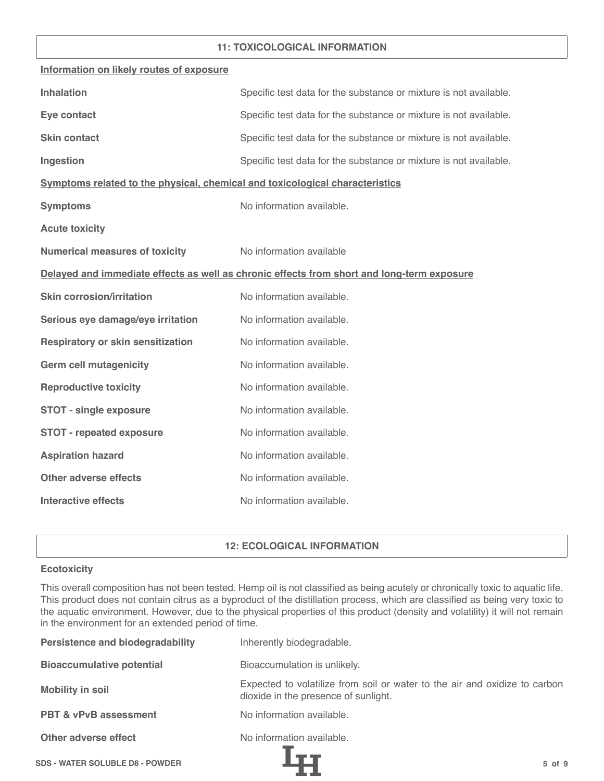## **11: TOXICOLOGICAL INFORMATION**

| Information on likely routes of exposure                                     |                                                                                            |
|------------------------------------------------------------------------------|--------------------------------------------------------------------------------------------|
| <b>Inhalation</b>                                                            | Specific test data for the substance or mixture is not available.                          |
| Eye contact                                                                  | Specific test data for the substance or mixture is not available.                          |
| <b>Skin contact</b>                                                          | Specific test data for the substance or mixture is not available.                          |
| Ingestion                                                                    | Specific test data for the substance or mixture is not available.                          |
| Symptoms related to the physical, chemical and toxicological characteristics |                                                                                            |
| <b>Symptoms</b>                                                              | No information available.                                                                  |
| <b>Acute toxicity</b>                                                        |                                                                                            |
| <b>Numerical measures of toxicity</b>                                        | No information available                                                                   |
|                                                                              | Delayed and immediate effects as well as chronic effects from short and long-term exposure |
| <b>Skin corrosion/irritation</b>                                             | No information available.                                                                  |
| Serious eye damage/eye irritation                                            | No information available.                                                                  |
| <b>Respiratory or skin sensitization</b>                                     | No information available.                                                                  |
| <b>Germ cell mutagenicity</b>                                                | No information available.                                                                  |
| <b>Reproductive toxicity</b>                                                 | No information available.                                                                  |
| <b>STOT - single exposure</b>                                                | No information available.                                                                  |
| <b>STOT - repeated exposure</b>                                              | No information available.                                                                  |
| <b>Aspiration hazard</b>                                                     | No information available.                                                                  |
| <b>Other adverse effects</b>                                                 | No information available.                                                                  |
| <b>Interactive effects</b>                                                   | No information available.                                                                  |

## **12: ECOLOGICAL INFORMATION**

### **Ecotoxicity**

This overall composition has not been tested. Hemp oil is not classified as being acutely or chronically toxic to aquatic life. This product does not contain citrus as a byproduct of the distillation process, which are classified as being very toxic to the aquatic environment. However, due to the physical properties of this product (density and volatility) it will not remain in the environment for an extended period of time.

| <b>Persistence and biodegradability</b> | Inherently biodegradable.                                                                                          |
|-----------------------------------------|--------------------------------------------------------------------------------------------------------------------|
| <b>Bioaccumulative potential</b>        | Bioaccumulation is unlikely.                                                                                       |
| <b>Mobility in soil</b>                 | Expected to volatilize from soil or water to the air and oxidize to carbon<br>dioxide in the presence of sunlight. |
| <b>PBT &amp; vPvB assessment</b>        | No information available.                                                                                          |
| Other adverse effect                    | No information available.                                                                                          |
| <b>SDS - WATER SOLUBLE D8 - POWDER</b>  | $5$ of $9$                                                                                                         |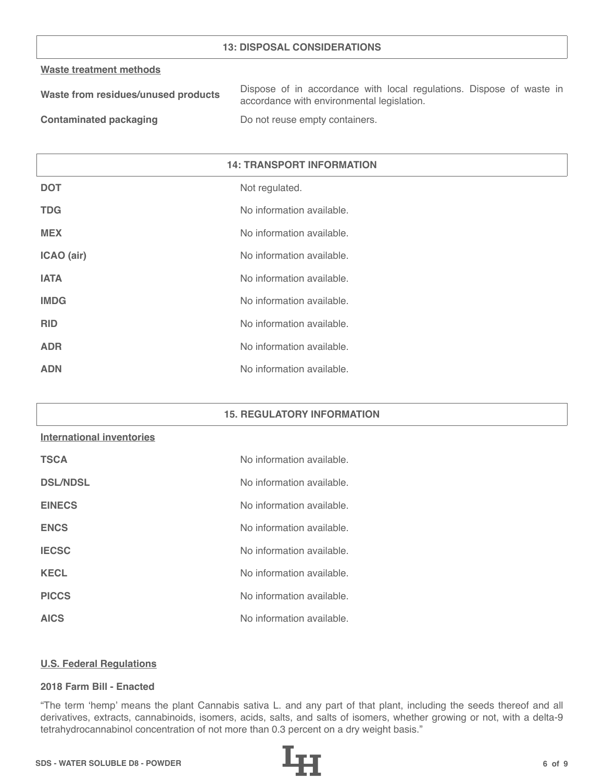### **13: DISPOSAL CONSIDERATIONS**

#### **Waste treatment methods**

| Waste from residues/unused products | Dispose of in accordance with local regulations. Dispose of waste in |
|-------------------------------------|----------------------------------------------------------------------|
|                                     | accordance with environmental legislation.                           |
| _____                               |                                                                      |

**Contaminated packaging The Contaminated packaging Containers.** 

| <b>14: TRANSPORT INFORMATION</b> |                           |
|----------------------------------|---------------------------|
| <b>DOT</b>                       | Not regulated.            |
| <b>TDG</b>                       | No information available. |
| <b>MEX</b>                       | No information available. |
| ICAO (air)                       | No information available. |
| <b>IATA</b>                      | No information available. |
| <b>IMDG</b>                      | No information available. |
| <b>RID</b>                       | No information available. |
| <b>ADR</b>                       | No information available. |
| <b>ADN</b>                       | No information available. |

#### **15. REGULATORY INFORMATION**

# **International inventories**

| <b>TSCA</b>     | No information available. |
|-----------------|---------------------------|
| <b>DSL/NDSL</b> | No information available. |
| <b>EINECS</b>   | No information available. |
| <b>ENCS</b>     | No information available. |
| <b>IECSC</b>    | No information available. |
| <b>KECL</b>     | No information available. |
| <b>PICCS</b>    | No information available. |
| <b>AICS</b>     | No information available. |

#### **U.S. Federal Regulations**

## **2018 Farm Bill - Enacted**

"The term 'hemp' means the plant Cannabis sativa L. and any part of that plant, including the seeds thereof and all derivatives, extracts, cannabinoids, isomers, acids, salts, and salts of isomers, whether growing or not, with a delta-9 tetrahydrocannabinol concentration of not more than 0.3 percent on a dry weight basis."

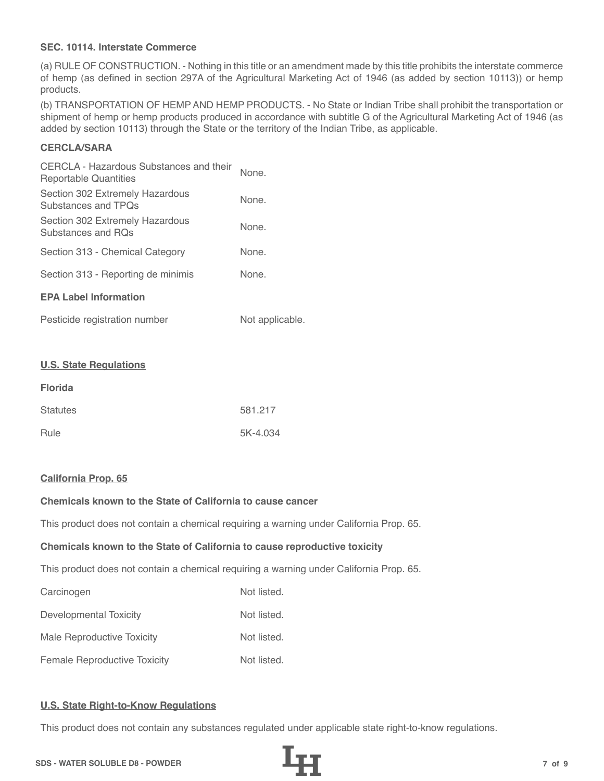## **SEC. 10114. Interstate Commerce**

(a) RULE OF CONSTRUCTION. - Nothing in this title or an amendment made by this title prohibits the interstate commerce of hemp (as defined in section 297A of the Agricultural Marketing Act of 1946 (as added by section 10113)) or hemp products.

(b) TRANSPORTATION OF HEMP AND HEMP PRODUCTS. - No State or Indian Tribe shall prohibit the transportation or shipment of hemp or hemp products produced in accordance with subtitle G of the Agricultural Marketing Act of 1946 (as added by section 10113) through the State or the territory of the Indian Tribe, as applicable.

# **CERCLA/SARA**

| CERCLA - Hazardous Substances and their<br>Reportable Quantities | None. |
|------------------------------------------------------------------|-------|
| Section 302 Extremely Hazardous<br>Substances and TPOs           | None. |
| Section 302 Extremely Hazardous<br>Substances and ROs            | None. |
| Section 313 - Chemical Category                                  | None. |
| Section 313 - Reporting de minimis                               | None. |
| <b>EPA Label Information</b>                                     |       |
|                                                                  |       |

| Pesticide registration number | Not applicable. |
|-------------------------------|-----------------|
|-------------------------------|-----------------|

#### **U.S. State Regulations**

| <b>Florida</b>  |          |
|-----------------|----------|
| <b>Statutes</b> | 581.217  |
| Rule            | 5K-4.034 |

#### **California Prop. 65**

# **Chemicals known to the State of California to cause cancer**

This product does not contain a chemical requiring a warning under California Prop. 65.

#### **Chemicals known to the State of California to cause reproductive toxicity**

This product does not contain a chemical requiring a warning under California Prop. 65.

| Carcinogen                          | Not listed. |
|-------------------------------------|-------------|
| Developmental Toxicity              | Not listed. |
| Male Reproductive Toxicity          | Not listed. |
| <b>Female Reproductive Toxicity</b> | Not listed. |

## **U.S. State Right-to-Know Regulations**

This product does not contain any substances regulated under applicable state right-to-know regulations.

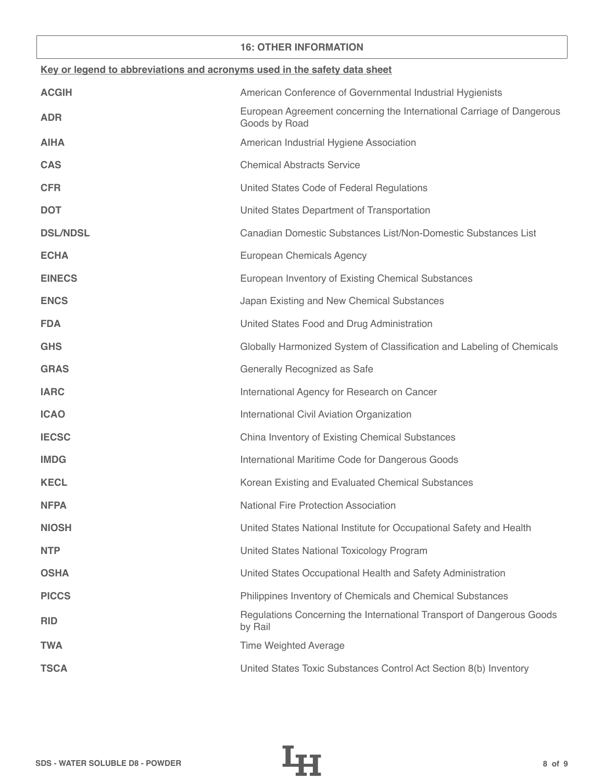### **16: OTHER INFORMATION**

| Key or legend to abbreviations and acronyms used in the safety data sheet |                                                                                        |  |
|---------------------------------------------------------------------------|----------------------------------------------------------------------------------------|--|
| <b>ACGIH</b>                                                              | American Conference of Governmental Industrial Hygienists                              |  |
| <b>ADR</b>                                                                | European Agreement concerning the International Carriage of Dangerous<br>Goods by Road |  |
| <b>AIHA</b>                                                               | American Industrial Hygiene Association                                                |  |
| <b>CAS</b>                                                                | <b>Chemical Abstracts Service</b>                                                      |  |
| <b>CFR</b>                                                                | United States Code of Federal Regulations                                              |  |
| <b>DOT</b>                                                                | United States Department of Transportation                                             |  |
| <b>DSL/NDSL</b>                                                           | Canadian Domestic Substances List/Non-Domestic Substances List                         |  |
| <b>ECHA</b>                                                               | European Chemicals Agency                                                              |  |
| <b>EINECS</b>                                                             | European Inventory of Existing Chemical Substances                                     |  |
| <b>ENCS</b>                                                               | Japan Existing and New Chemical Substances                                             |  |
| <b>FDA</b>                                                                | United States Food and Drug Administration                                             |  |
| <b>GHS</b>                                                                | Globally Harmonized System of Classification and Labeling of Chemicals                 |  |
| <b>GRAS</b>                                                               | Generally Recognized as Safe                                                           |  |
| <b>IARC</b>                                                               | International Agency for Research on Cancer                                            |  |
| <b>ICAO</b>                                                               | International Civil Aviation Organization                                              |  |
| <b>IECSC</b>                                                              | China Inventory of Existing Chemical Substances                                        |  |
| <b>IMDG</b>                                                               | International Maritime Code for Dangerous Goods                                        |  |
| <b>KECL</b>                                                               | Korean Existing and Evaluated Chemical Substances                                      |  |
| <b>NFPA</b>                                                               | National Fire Protection Association                                                   |  |
| <b>NIOSH</b>                                                              | United States National Institute for Occupational Safety and Health                    |  |
| <b>NTP</b>                                                                | United States National Toxicology Program                                              |  |
| <b>OSHA</b>                                                               | United States Occupational Health and Safety Administration                            |  |
| <b>PICCS</b>                                                              | Philippines Inventory of Chemicals and Chemical Substances                             |  |
| <b>RID</b>                                                                | Regulations Concerning the International Transport of Dangerous Goods<br>by Rail       |  |
| <b>TWA</b>                                                                | <b>Time Weighted Average</b>                                                           |  |
| <b>TSCA</b>                                                               | United States Toxic Substances Control Act Section 8(b) Inventory                      |  |